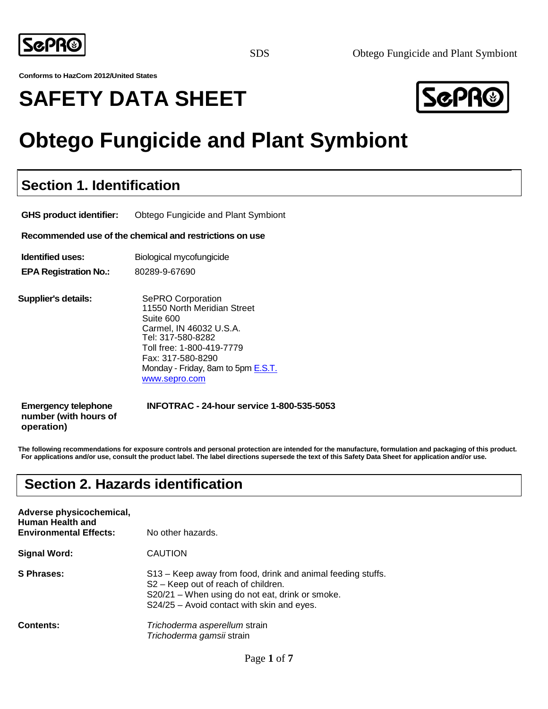

**Conforms to HazCom 2012/United States**

# **SAFETY DATA SHEET**



# **Obtego Fungicide and Plant Symbiont**

### **Section 1. Identification**

**GHS product identifier:** Obtego Fungicide and Plant Symbiont

**Recommended use of the chemical and restrictions on use**

**Identified uses:** Biological mycofungicide

**EPA Registration No.:** 80289-9-67690

**Supplier's details:** SePRO Corporation 11550 North Meridian Street Suite 600 Carmel, IN 46032 U.S.A. Tel: 317-580-8282 Toll free: 1-800-419-7779 Fax: 317-580-8290 Monday - Friday, 8am to 5pm **E.S.T.** [www.sepro.com](http://e.s.t.www.sepro.com/)

**number (with hours of operation)**

**Emergency telephone INFOTRAC - 24-hour service 1-800-535-5053**

**The following recommendations for exposure controls and personal protection are intended for the manufacture, formulation and packaging of this product. For applications and/or use, consult the product label. The label directions supersede the text of this Safety Data Sheet for application and/or use.**

### **Section 2. Hazards identification**

| Adverse physicochemical,<br>Human Health and<br><b>Environmental Effects:</b> | No other hazards.                                                                                                                                                                                               |
|-------------------------------------------------------------------------------|-----------------------------------------------------------------------------------------------------------------------------------------------------------------------------------------------------------------|
| <b>Signal Word:</b>                                                           | <b>CAUTION</b>                                                                                                                                                                                                  |
| S Phrases:                                                                    | S13 – Keep away from food, drink and animal feeding stuffs.<br>S <sub>2</sub> – Keep out of reach of children.<br>S20/21 – When using do not eat, drink or smoke.<br>S24/25 - Avoid contact with skin and eyes. |
| <b>Contents:</b>                                                              | Trichoderma asperellum strain<br>Trichoderma gamsii strain                                                                                                                                                      |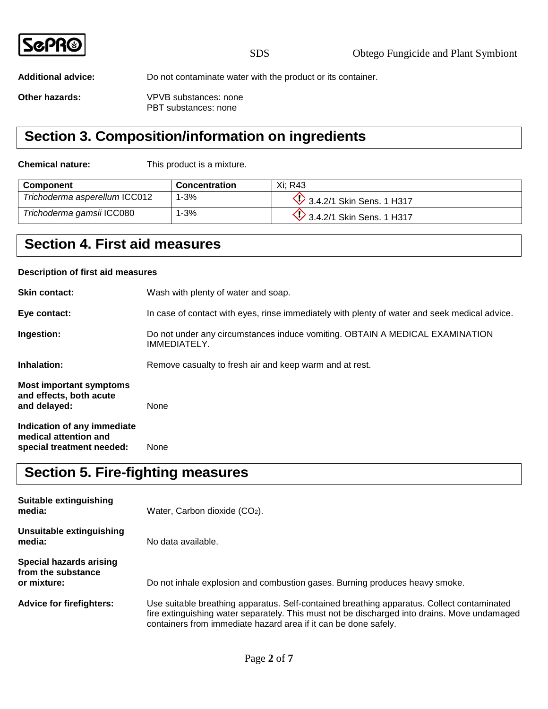|--|

**Additional advice:** Do not contaminate water with the product or its container.

**Other hazards:** VPVB substances: none PBT substances: none

### **Section 3. Composition/information on ingredients**

**Chemical nature:** This product is a mixture.

| <b>Component</b>              | <b>Concentration</b> | Xi: R43                          |
|-------------------------------|----------------------|----------------------------------|
| Trichoderma asperellum ICC012 | $1 - 3%$             | $\vee$ 3.4.2/1 Skin Sens. 1 H317 |
| Trichoderma gamsii ICC080     | 1-3%                 | $\vee$ 3.4.2/1 Skin Sens. 1 H317 |

### **Section 4. First aid measures**

#### **Description of first aid measures**

| <b>Skin contact:</b>                                                              | Wash with plenty of water and soap.                                                           |
|-----------------------------------------------------------------------------------|-----------------------------------------------------------------------------------------------|
| Eye contact:                                                                      | In case of contact with eyes, rinse immediately with plenty of water and seek medical advice. |
| Ingestion:                                                                        | Do not under any circumstances induce vomiting. OBTAIN A MEDICAL EXAMINATION<br>IMMEDIATELY.  |
| Inhalation:                                                                       | Remove casualty to fresh air and keep warm and at rest.                                       |
| <b>Most important symptoms</b><br>and effects, both acute<br>and delayed:         | None                                                                                          |
| Indication of any immediate<br>medical attention and<br>special treatment needed: | None                                                                                          |

### **Section 5. Fire-fighting measures**

| Suitable extinguishing<br>media:                                    | Water, Carbon dioxide $(CO2)$ .                                                                                                                                                                                                                               |
|---------------------------------------------------------------------|---------------------------------------------------------------------------------------------------------------------------------------------------------------------------------------------------------------------------------------------------------------|
| Unsuitable extinguishing<br>media:                                  | No data available.                                                                                                                                                                                                                                            |
| <b>Special hazards arising</b><br>from the substance<br>or mixture: | Do not inhale explosion and combustion gases. Burning produces heavy smoke.                                                                                                                                                                                   |
| <b>Advice for firefighters:</b>                                     | Use suitable breathing apparatus. Self-contained breathing apparatus. Collect contaminated<br>fire extinguishing water separately. This must not be discharged into drains. Move undamaged<br>containers from immediate hazard area if it can be done safely. |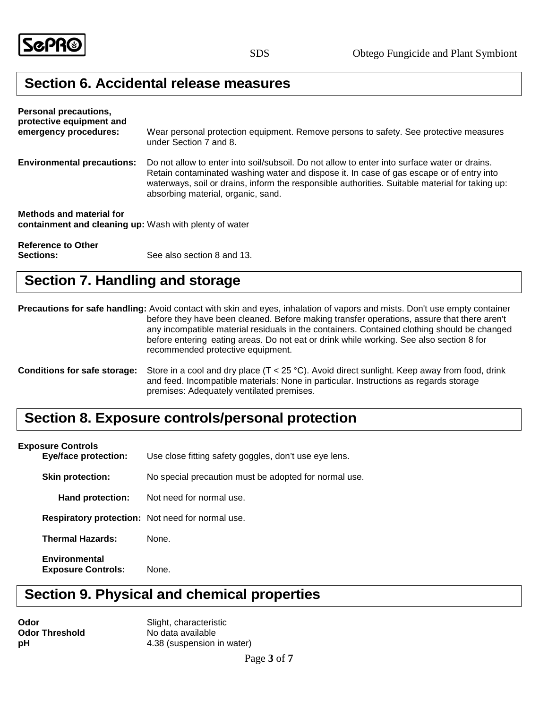

### **Section 6. Accidental release measures**

| <b>Personal precautions,</b><br>protective equipment and<br>emergency procedures:  | Wear personal protection equipment. Remove persons to safety. See protective measures<br>under Section 7 and 8.                                                                                                                                                                                                                   |
|------------------------------------------------------------------------------------|-----------------------------------------------------------------------------------------------------------------------------------------------------------------------------------------------------------------------------------------------------------------------------------------------------------------------------------|
| <b>Environmental precautions:</b>                                                  | Do not allow to enter into soil/subsoil. Do not allow to enter into surface water or drains.<br>Retain contaminated washing water and dispose it. In case of gas escape or of entry into<br>waterways, soil or drains, inform the responsible authorities. Suitable material for taking up:<br>absorbing material, organic, sand. |
| Methods and material for<br>containment and cleaning up: Wash with plenty of water |                                                                                                                                                                                                                                                                                                                                   |
| <b>Reference to Other</b>                                                          |                                                                                                                                                                                                                                                                                                                                   |

**Sections:** See also section 8 and 13.

### **Section 7. Handling and storage**

**Precautions for safe handling:** Avoid contact with skin and eyes, inhalation of vapors and mists. Don't use empty container before they have been cleaned. Before making transfer operations, assure that there aren't any incompatible material residuals in the containers. Contained clothing should be changed before entering eating areas. Do not eat or drink while working. See also section 8 for recommended protective equipment.

**Conditions for safe storage:** Store in a cool and dry place (T < 25 °C). Avoid direct sunlight. Keep away from food, drink and feed. Incompatible materials: None in particular. Instructions as regards storage premises: Adequately ventilated premises.

### **Section 8. Exposure controls/personal protection**

#### **Exposure Controls**

| <b>Eye/face protection:</b>                       | Use close fitting safety goggles, don't use eye lens.   |
|---------------------------------------------------|---------------------------------------------------------|
| <b>Skin protection:</b>                           | No special precaution must be adopted for normal use.   |
| Hand protection:                                  | Not need for normal use.                                |
|                                                   | <b>Respiratory protection:</b> Not need for normal use. |
| <b>Thermal Hazards:</b>                           | None.                                                   |
| <b>Environmental</b><br><b>Exposure Controls:</b> | None.                                                   |

### **Section 9. Physical and chemical properties**

**Odor Threshold** No data available

**Odor** Slight, characteristic **pH** 4.38 (suspension in water)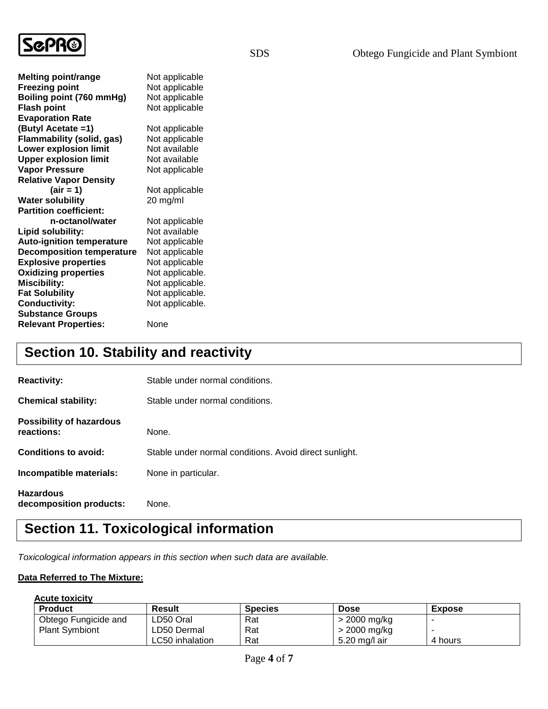

| <b>Melting point/range</b>       | Not applicable  |
|----------------------------------|-----------------|
| <b>Freezing point</b>            | Not applicable  |
| Boiling point (760 mmHg)         | Not applicable  |
| <b>Flash point</b>               | Not applicable  |
| <b>Evaporation Rate</b>          |                 |
| (Butyl Acetate =1)               | Not applicable  |
| Flammability (solid, gas)        | Not applicable  |
| <b>Lower explosion limit</b>     | Not available   |
| <b>Upper explosion limit</b>     | Not available   |
| <b>Vapor Pressure</b>            | Not applicable  |
| <b>Relative Vapor Density</b>    |                 |
| $\text{(air = 1)}$               | Not applicable  |
| <b>Water solubility</b>          | 20 mg/ml        |
| <b>Partition coefficient:</b>    |                 |
| n-octanol/water                  | Not applicable  |
| Lipid solubility:                | Not available   |
| <b>Auto-ignition temperature</b> | Not applicable  |
| <b>Decomposition temperature</b> | Not applicable  |
| <b>Explosive properties</b>      | Not applicable  |
| <b>Oxidizing properties</b>      | Not applicable. |
| <b>Miscibility:</b>              | Not applicable. |
| <b>Fat Solubility</b>            | Not applicable. |
| <b>Conductivity:</b>             | Not applicable. |
| <b>Substance Groups</b>          |                 |
| <b>Relevant Properties:</b>      | None            |

## **Section 10. Stability and reactivity**

| <b>Reactivity:</b>                            | Stable under normal conditions.                        |
|-----------------------------------------------|--------------------------------------------------------|
| <b>Chemical stability:</b>                    | Stable under normal conditions.                        |
| <b>Possibility of hazardous</b><br>reactions: | None.                                                  |
| <b>Conditions to avoid:</b>                   | Stable under normal conditions. Avoid direct sunlight. |
| Incompatible materials:                       | None in particular.                                    |
| <b>Hazardous</b><br>decomposition products:   | None.                                                  |

## **Section 11. Toxicological information**

*Toxicological information appears in this section when such data are available.*

### **Data Referred to The Mixture:**

### **Acute toxicity**

| <b>Product</b>        | Result          | <b>Species</b> | <b>Dose</b>   | <b>Expose</b> |
|-----------------------|-----------------|----------------|---------------|---------------|
| Obtego Fungicide and  | LD50 Oral       | Rat            | > 2000 mg/kg  |               |
| <b>Plant Symbiont</b> | LD50 Dermal     | Rat            | > 2000 mg/kg  |               |
|                       | LC50 inhalation | Rat            | 5.20 mg/l air | 4 hours       |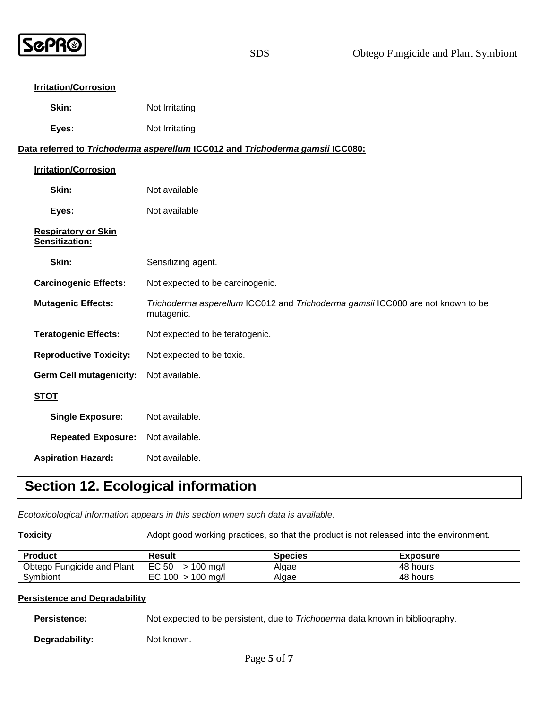

#### **Irritation/Corrosion**

| Skin: | Not Irritating |
|-------|----------------|
|-------|----------------|

| Eyes: | Not Irritating |
|-------|----------------|
|-------|----------------|

### **Data referred to** *Trichoderma asperellum* **ICC012 and** *Trichoderma gamsii* **ICC080:**

| <b>Irritation/Corrosion</b>                  |                                                                                               |
|----------------------------------------------|-----------------------------------------------------------------------------------------------|
| Skin:                                        | Not available                                                                                 |
| Eyes:                                        | Not available                                                                                 |
| <b>Respiratory or Skin</b><br>Sensitization: |                                                                                               |
| Skin:                                        | Sensitizing agent.                                                                            |
| <b>Carcinogenic Effects:</b>                 | Not expected to be carcinogenic.                                                              |
| <b>Mutagenic Effects:</b>                    | Trichoderma asperellum ICC012 and Trichoderma gamsii ICC080 are not known to be<br>mutagenic. |
| <b>Teratogenic Effects:</b>                  | Not expected to be teratogenic.                                                               |
| <b>Reproductive Toxicity:</b>                | Not expected to be toxic.                                                                     |
| <b>Germ Cell mutagenicity:</b>               | Not available.                                                                                |
| <b>STOT</b>                                  |                                                                                               |
| <b>Single Exposure:</b>                      | Not available.                                                                                |
| <b>Repeated Exposure:</b>                    | Not available.                                                                                |
| <b>Aspiration Hazard:</b>                    | Not available.                                                                                |

## **Section 12. Ecological information**

*Ecotoxicological information appears in this section when such data is available.*

**Toxicity** Adopt good working practices, so that the product is not released into the environment.

| <b>Product</b>             | Result                 | <b>Species</b> | <b>Exposure</b> |
|----------------------------|------------------------|----------------|-----------------|
| Obtego Fungicide and Plant | EC 50<br>$> 100$ mg/l  | Algae          | 48 hours        |
| Symbiont                   | EC 100<br>$>$ 100 mg/l | Algae          | 48 hours        |

#### **Persistence and Degradability**

**Persistence:** Not expected to be persistent, due to *Trichoderma* data known in bibliography.

Degradability: Not known.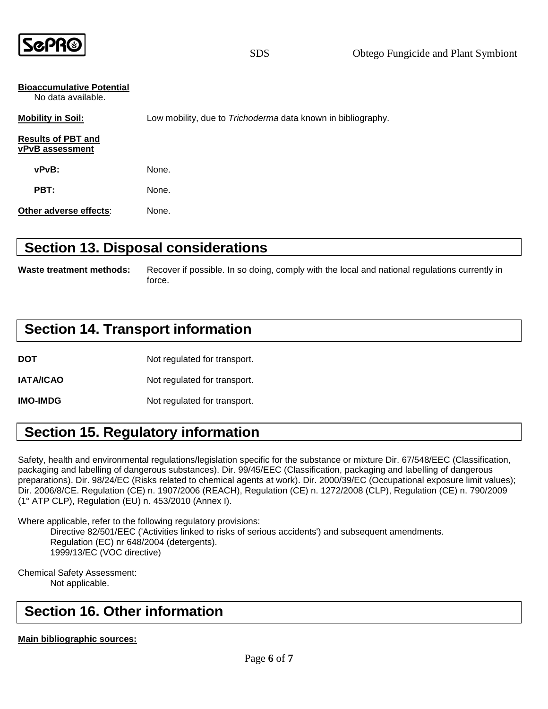

SDS Obtego Fungicide and Plant Symbiont

| <b>Bioaccumulative Potential</b><br>No data available. |                                                                     |
|--------------------------------------------------------|---------------------------------------------------------------------|
| <b>Mobility in Soil:</b>                               | Low mobility, due to <i>Trichoderma</i> data known in bibliography. |
| <b>Results of PBT and</b><br><b>vPvB</b> assessment    |                                                                     |
| vPvB:                                                  | None.                                                               |
| PBT:                                                   | None.                                                               |
| Other adverse effects:                                 | None.                                                               |

### **Section 13. Disposal considerations**

**Waste treatment methods:** Recover if possible. In so doing, comply with the local and national regulations currently in force.

### **Section 14. Transport information**

**DOT** Not regulated for transport.

**IATA/ICAO** Not regulated for transport.

**IMO-IMDG** Not regulated for transport.

### **Section 15. Regulatory information**

Safety, health and environmental regulations/legislation specific for the substance or mixture Dir. 67/548/EEC (Classification, packaging and labelling of dangerous substances). Dir. 99/45/EEC (Classification, packaging and labelling of dangerous preparations). Dir. 98/24/EC (Risks related to chemical agents at work). Dir. 2000/39/EC (Occupational exposure limit values); Dir. 2006/8/CE. Regulation (CE) n. 1907/2006 (REACH), Regulation (CE) n. 1272/2008 (CLP), Regulation (CE) n. 790/2009 (1° ATP CLP), Regulation (EU) n. 453/2010 (Annex I).

Where applicable, refer to the following regulatory provisions:

Directive 82/501/EEC ('Activities linked to risks of serious accidents') and subsequent amendments. Regulation (EC) nr 648/2004 (detergents). 1999/13/EC (VOC directive)

Chemical Safety Assessment: Not applicable.

### **Section 16. Other information**

**Main bibliographic sources:**